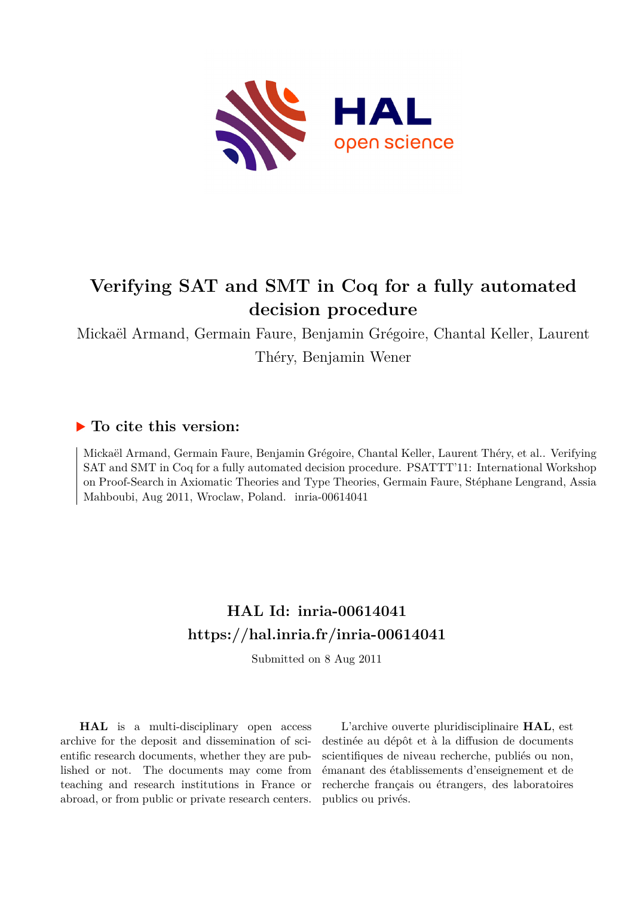

# **Verifying SAT and SMT in Coq for a fully automated decision procedure**

Mickaël Armand, Germain Faure, Benjamin Grégoire, Chantal Keller, Laurent Théry, Benjamin Wener

# **To cite this version:**

Mickaël Armand, Germain Faure, Benjamin Grégoire, Chantal Keller, Laurent Théry, et al.. Verifying SAT and SMT in Coq for a fully automated decision procedure. PSATTT'11: International Workshop on Proof-Search in Axiomatic Theories and Type Theories, Germain Faure, Stéphane Lengrand, Assia Mahboubi, Aug 2011, Wroclaw, Poland. inria-00614041

# **HAL Id: inria-00614041 <https://hal.inria.fr/inria-00614041>**

Submitted on 8 Aug 2011

**HAL** is a multi-disciplinary open access archive for the deposit and dissemination of scientific research documents, whether they are published or not. The documents may come from teaching and research institutions in France or abroad, or from public or private research centers.

L'archive ouverte pluridisciplinaire **HAL**, est destinée au dépôt et à la diffusion de documents scientifiques de niveau recherche, publiés ou non, émanant des établissements d'enseignement et de recherche français ou étrangers, des laboratoires publics ou privés.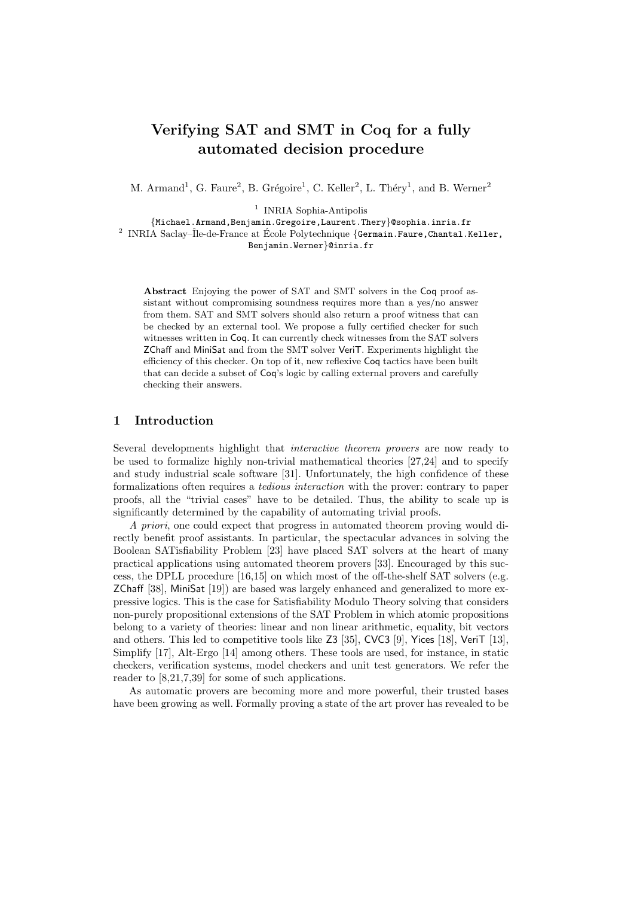# Verifying SAT and SMT in Coq for a fully automated decision procedure

M. Armand<sup>1</sup>, G. Faure<sup>2</sup>, B. Grégoire<sup>1</sup>, C. Keller<sup>2</sup>, L. Théry<sup>1</sup>, and B. Werner<sup>2</sup>

<sup>1</sup> INRIA Sophia-Antipolis

 $\{ \mbox{Michael\,.Armand}\,, \mbox{Benjamin\,.Gregoire\,,Laurent\,.}$  <br> Perpedentia.inria.fr  $^2$  INRIA Saclay–Île-de-France at École Polytechnique<br> $\{ \mbox{German\,.Fauer}\,, \mbox{Chantal\,.Keller}\,, \label{eq:ex1}$ Benjamin.Werner}@inria.fr

Abstract Enjoying the power of SAT and SMT solvers in the Coq proof assistant without compromising soundness requires more than a yes/no answer from them. SAT and SMT solvers should also return a proof witness that can be checked by an external tool. We propose a fully certified checker for such witnesses written in Coq. It can currently check witnesses from the SAT solvers

ZChaff and MiniSat and from the SMT solver VeriT. Experiments highlight the efficiency of this checker. On top of it, new reflexive Coq tactics have been built that can decide a subset of Coq's logic by calling external provers and carefully

# 1 Introduction

checking their answers.

Several developments highlight that interactive theorem provers are now ready to be used to formalize highly non-trivial mathematical theories [27,24] and to specify and study industrial scale software [31]. Unfortunately, the high confidence of these formalizations often requires a tedious interaction with the prover: contrary to paper proofs, all the "trivial cases" have to be detailed. Thus, the ability to scale up is significantly determined by the capability of automating trivial proofs.

A priori, one could expect that progress in automated theorem proving would directly benefit proof assistants. In particular, the spectacular advances in solving the Boolean SATisfiability Problem [23] have placed SAT solvers at the heart of many practical applications using automated theorem provers [33]. Encouraged by this success, the DPLL procedure [16,15] on which most of the off-the-shelf SAT solvers (e.g. ZChaff [38], MiniSat [19]) are based was largely enhanced and generalized to more expressive logics. This is the case for Satisfiability Modulo Theory solving that considers non-purely propositional extensions of the SAT Problem in which atomic propositions belong to a variety of theories: linear and non linear arithmetic, equality, bit vectors and others. This led to competitive tools like Z3 [35], CVC3 [9], Yices [18], VeriT [13], Simplify [17], Alt-Ergo [14] among others. These tools are used, for instance, in static checkers, verification systems, model checkers and unit test generators. We refer the reader to [8,21,7,39] for some of such applications.

As automatic provers are becoming more and more powerful, their trusted bases have been growing as well. Formally proving a state of the art prover has revealed to be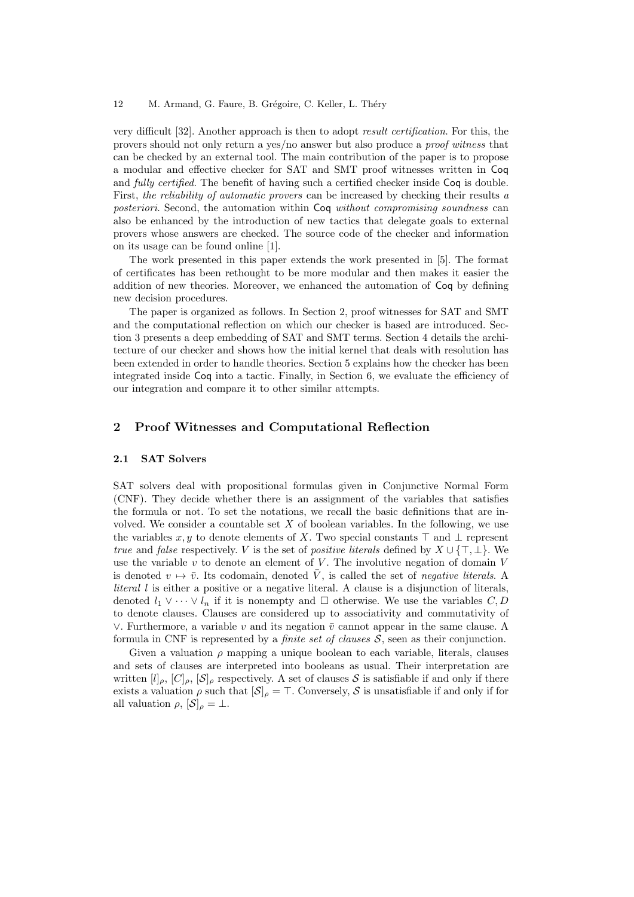very difficult [32]. Another approach is then to adopt result certification. For this, the provers should not only return a yes/no answer but also produce a proof witness that can be checked by an external tool. The main contribution of the paper is to propose a modular and effective checker for SAT and SMT proof witnesses written in Coq and fully certified. The benefit of having such a certified checker inside Coq is double. First, the reliability of automatic provers can be increased by checking their results a posteriori. Second, the automation within Coq without compromising soundness can also be enhanced by the introduction of new tactics that delegate goals to external provers whose answers are checked. The source code of the checker and information on its usage can be found online [1].

The work presented in this paper extends the work presented in [5]. The format of certificates has been rethought to be more modular and then makes it easier the addition of new theories. Moreover, we enhanced the automation of Coq by defining new decision procedures.

The paper is organized as follows. In Section 2, proof witnesses for SAT and SMT and the computational reflection on which our checker is based are introduced. Section 3 presents a deep embedding of SAT and SMT terms. Section 4 details the architecture of our checker and shows how the initial kernel that deals with resolution has been extended in order to handle theories. Section 5 explains how the checker has been integrated inside Coq into a tactic. Finally, in Section 6, we evaluate the efficiency of our integration and compare it to other similar attempts.

# 2 Proof Witnesses and Computational Reflection

#### 2.1 SAT Solvers

SAT solvers deal with propositional formulas given in Conjunctive Normal Form (CNF). They decide whether there is an assignment of the variables that satisfies the formula or not. To set the notations, we recall the basic definitions that are involved. We consider a countable set  $X$  of boolean variables. In the following, we use the variables x, y to denote elements of X. Two special constants  $\top$  and  $\bot$  represent true and false respectively. V is the set of positive literals defined by  $X \cup {\{\top, \bot\}}$ . We use the variable  $v$  to denote an element of  $V$ . The involutive negation of domain  $V$ is denoted  $v \mapsto \bar{v}$ . Its codomain, denoted  $\bar{V}$ , is called the set of negative literals. A *literal l* is either a positive or a negative literal. A clause is a disjunction of literals, denoted  $l_1 \vee \cdots \vee l_n$  if it is nonempty and  $\Box$  otherwise. We use the variables  $C, D$ to denote clauses. Clauses are considered up to associativity and commutativity of ∨. Furthermore, a variable  $v$  and its negation  $\bar{v}$  cannot appear in the same clause. A formula in CNF is represented by a *finite set of clauses*  $S$ , seen as their conjunction.

Given a valuation  $\rho$  mapping a unique boolean to each variable, literals, clauses and sets of clauses are interpreted into booleans as usual. Their interpretation are written  $[l]_{\rho}$ ,  $[C]_{\rho}$ ,  $[\mathcal{S}]_{\rho}$  respectively. A set of clauses S is satisfiable if and only if there exists a valuation  $\rho$  such that  $[\mathcal{S}]_\rho = \top$ . Conversely, S is unsatisfiable if and only if for all valuation  $\rho$ ,  $[\mathcal{S}]_{\rho} = \perp$ .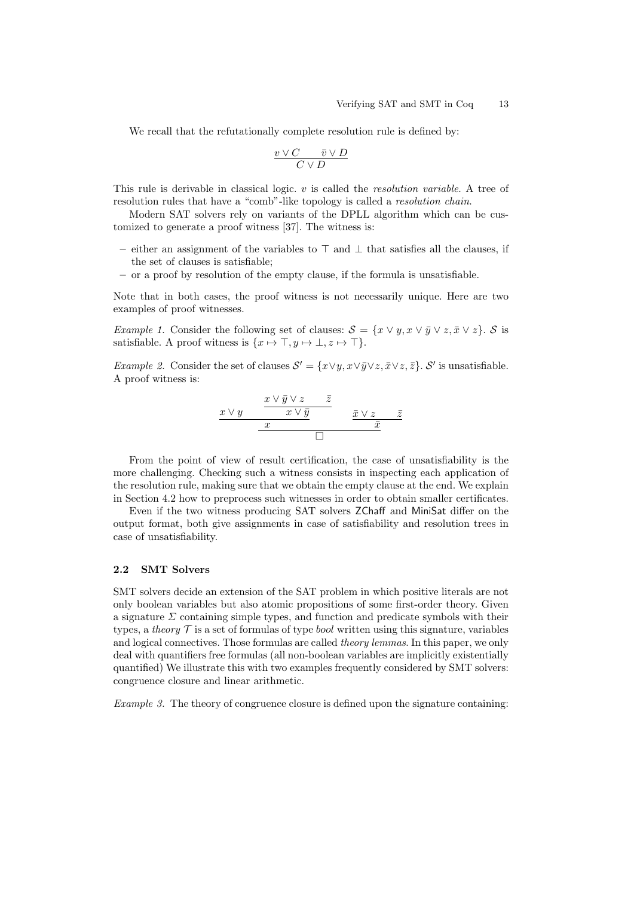We recall that the refutationally complete resolution rule is defined by:

$$
\frac{v\vee C\qquadbar v\vee D}{C\vee D}
$$

This rule is derivable in classical logic. v is called the *resolution variable*. A tree of resolution rules that have a "comb"-like topology is called a resolution chain.

Modern SAT solvers rely on variants of the DPLL algorithm which can be customized to generate a proof witness [37]. The witness is:

- either an assignment of the variables to  $\top$  and  $\bot$  that satisfies all the clauses, if the set of clauses is satisfiable;
- or a proof by resolution of the empty clause, if the formula is unsatisfiable.

Note that in both cases, the proof witness is not necessarily unique. Here are two examples of proof witnesses.

*Example 1.* Consider the following set of clauses:  $S = \{x \lor y, x \lor \bar{y} \lor z, \bar{x} \lor z\}$ . S is satisfiable. A proof witness is  $\{x \mapsto \top, y \mapsto \bot, z \mapsto \top\}.$ 

Example 2. Consider the set of clauses  $\mathcal{S}' = \{x \lor y, x \lor \bar{y} \lor z, \bar{x} \lor z, \bar{z}\}\text{. }\mathcal{S}'$  is unsatisfiable. A proof witness is:

$$
\begin{array}{c|c c c c c c c c} x \vee \bar{y} & x \vee \bar{y} & \bar{z} & & x \vee \bar{z} \\ \hline & x & & \bar{x} & \bar{x} \\ \hline & x & & \bar{x} & \bar{x} \\ \hline & \Box & & & \bar{x} & \end{array}
$$

From the point of view of result certification, the case of unsatisfiability is the more challenging. Checking such a witness consists in inspecting each application of the resolution rule, making sure that we obtain the empty clause at the end. We explain in Section 4.2 how to preprocess such witnesses in order to obtain smaller certificates.

Even if the two witness producing SAT solvers ZChaff and MiniSat differ on the output format, both give assignments in case of satisfiability and resolution trees in case of unsatisfiability.

# 2.2 SMT Solvers

SMT solvers decide an extension of the SAT problem in which positive literals are not only boolean variables but also atomic propositions of some first-order theory. Given a signature  $\Sigma$  containing simple types, and function and predicate symbols with their types, a theory  $\mathcal T$  is a set of formulas of type *bool* written using this signature, variables and logical connectives. Those formulas are called *theory lemmas*. In this paper, we only deal with quantifiers free formulas (all non-boolean variables are implicitly existentially quantified) We illustrate this with two examples frequently considered by SMT solvers: congruence closure and linear arithmetic.

Example 3. The theory of congruence closure is defined upon the signature containing: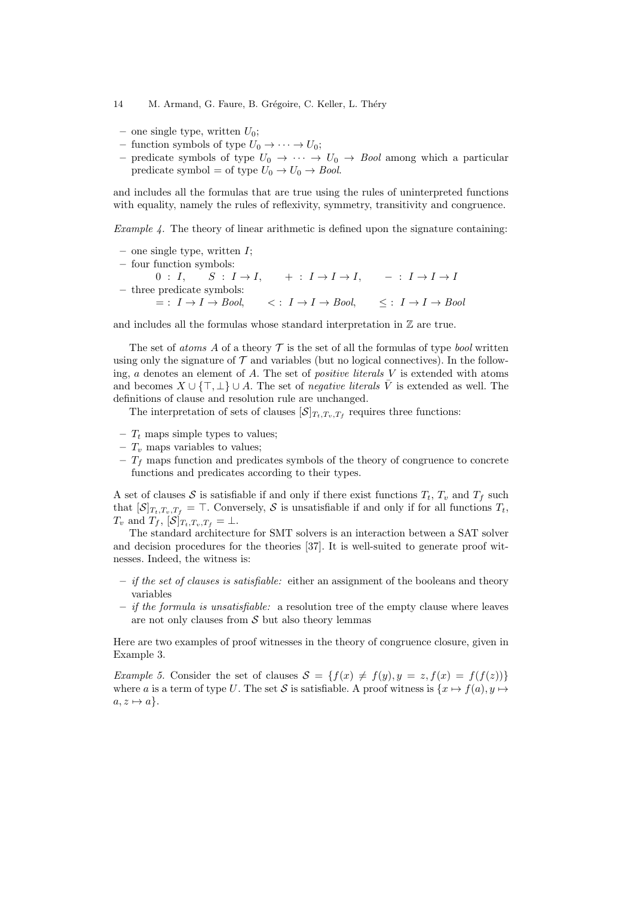- one single type, written  $U_0$ ;
- function symbols of type  $U_0 \to \cdots \to U_0$ ;
- predicate symbols of type  $U_0 \rightarrow \cdots \rightarrow U_0 \rightarrow \text{Bool}$  among which a particular predicate symbol = of type  $U_0 \rightarrow U_0 \rightarrow Bool$ .

and includes all the formulas that are true using the rules of uninterpreted functions with equality, namely the rules of reflexivity, symmetry, transitivity and congruence.

*Example 4.* The theory of linear arithmetic is defined upon the signature containing:

– one single type, written  $I$ ; – four function symbols:  $0 : I, \quad S : I \to I, \quad + : I \to I \to I, \quad - : I \to I \to I$ – three predicate symbols:  $= : I \rightarrow I \rightarrow Bool, \qquad \langle : I \rightarrow I \rightarrow Bool, \qquad \langle : I \rightarrow I \rightarrow Bool \rangle$ 

and includes all the formulas whose standard interpretation in  $\mathbb Z$  are true.

The set of *atoms* A of a theory  $\mathcal T$  is the set of all the formulas of type *bool* written using only the signature of  $\mathcal T$  and variables (but no logical connectives). In the following, a denotes an element of A. The set of *positive literals*  $V$  is extended with atoms and becomes  $X \cup {\{\top, \bot\}} \cup A$ . The set of *negative literals*  $\overline{V}$  is extended as well. The definitions of clause and resolution rule are unchanged.

The interpretation of sets of clauses  $[\mathcal{S}]_{T_t,T_v,T_f}$  requires three functions:

- $T_t$  maps simple types to values;
- $T_v$  maps variables to values;
- $T_f$  maps function and predicates symbols of the theory of congruence to concrete functions and predicates according to their types.

A set of clauses S is satisfiable if and only if there exist functions  $T_t$ ,  $T_v$  and  $T_f$  such that  $[\mathcal{S}]_{T_t,T_v,T_f} = \top$ . Conversely,  $\mathcal{S}$  is unsatisfiable if and only if for all functions  $T_t$ ,  $T_v$  and  $T_f$ ,  $[\mathcal{S}]_{T_t,T_v,T_f} = \perp$ .

The standard architecture for SMT solvers is an interaction between a SAT solver and decision procedures for the theories [37]. It is well-suited to generate proof witnesses. Indeed, the witness is:

- $-$  *if the set of clauses is satisfiable:* either an assignment of the booleans and theory variables
- $-$  *if the formula is unsatisfiable:* a resolution tree of the empty clause where leaves are not only clauses from  $S$  but also theory lemmas

Here are two examples of proof witnesses in the theory of congruence closure, given in Example 3.

Example 5. Consider the set of clauses  $S = \{f(x) \neq f(y), y = z, f(x) = f(f(z))\}$ where a is a term of type U. The set S is satisfiable. A proof witness is  $\{x \mapsto f(a), y \mapsto f\}$  $a, z \mapsto a$ .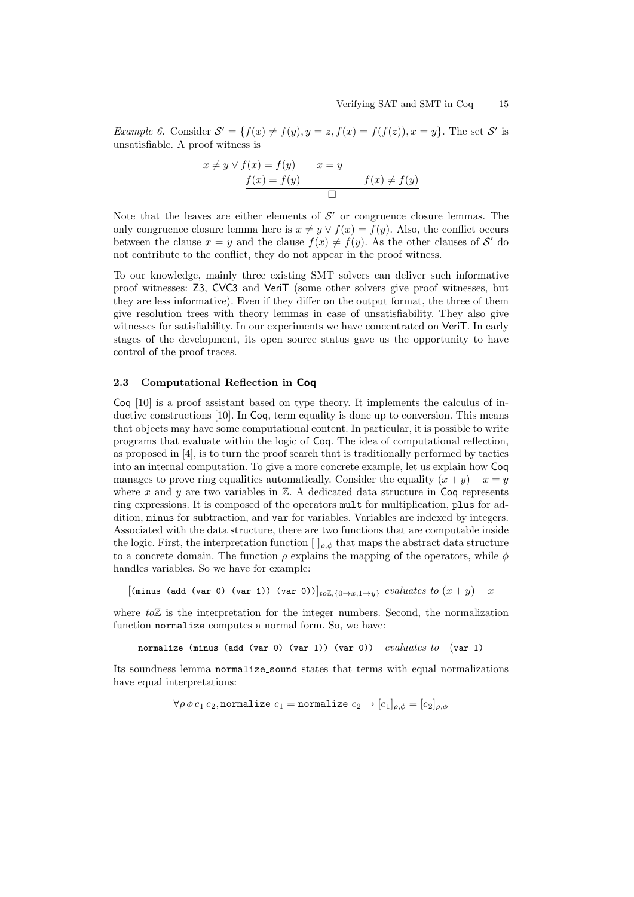*Example 6.* Consider  $\mathcal{S}' = \{f(x) \neq f(y), y = z, f(x) = f(f(z)), x = y\}$ . The set  $\mathcal{S}'$  is unsatisfiable. A proof witness is

$$
\frac{x \neq y \lor f(x) = f(y) \qquad x = y}{f(x) = f(y)} \qquad f(x) \neq f(y)
$$

Note that the leaves are either elements of  $\mathcal{S}'$  or congruence closure lemmas. The only congruence closure lemma here is  $x \neq y \vee f(x) = f(y)$ . Also, the conflict occurs between the clause  $x = y$  and the clause  $f(x) \neq f(y)$ . As the other clauses of S' do not contribute to the conflict, they do not appear in the proof witness.

To our knowledge, mainly three existing SMT solvers can deliver such informative proof witnesses: Z3, CVC3 and VeriT (some other solvers give proof witnesses, but they are less informative). Even if they differ on the output format, the three of them give resolution trees with theory lemmas in case of unsatisfiability. They also give witnesses for satisfiability. In our experiments we have concentrated on VeriT. In early stages of the development, its open source status gave us the opportunity to have control of the proof traces.

#### 2.3 Computational Reflection in Coq

Coq [10] is a proof assistant based on type theory. It implements the calculus of inductive constructions [10]. In Coq, term equality is done up to conversion. This means that objects may have some computational content. In particular, it is possible to write programs that evaluate within the logic of Coq. The idea of computational reflection, as proposed in [4], is to turn the proof search that is traditionally performed by tactics into an internal computation. To give a more concrete example, let us explain how Coq manages to prove ring equalities automatically. Consider the equality  $(x + y) - x = y$ where x and y are two variables in  $\mathbb{Z}$ . A dedicated data structure in Coq represents ring expressions. It is composed of the operators mult for multiplication, plus for addition, minus for subtraction, and var for variables. Variables are indexed by integers. Associated with the data structure, there are two functions that are computable inside the logic. First, the interpretation function  $[\ ]_{\rho,\phi}$  that maps the abstract data structure to a concrete domain. The function  $\rho$  explains the mapping of the operators, while  $\phi$ handles variables. So we have for example:

[(minus (add (var 0) (var 1)) (var 0))] $_{to\mathbb{Z},\{0\to x,1\to y\}}$  evaluates to  $(x+y)-x$ 

where  $to\mathbb{Z}$  is the interpretation for the integer numbers. Second, the normalization function normalize computes a normal form. So, we have:

normalize (minus (add (var 0) (var 1)) (var 0))  $evaluates to$  (var 1)

Its soundness lemma normalize\_sound states that terms with equal normalizations have equal interpretations:

 $\forall \rho \, \phi \, e_1 \, e_2$ , normalize  $e_1$  = normalize  $e_2 \rightarrow [e_1]_{\rho,\phi} = [e_2]_{\rho,\phi}$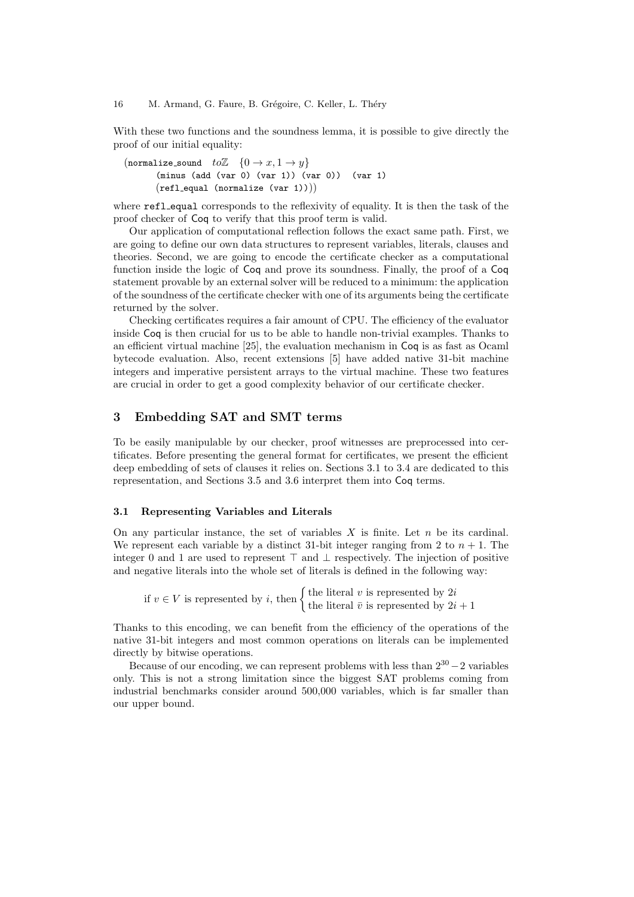With these two functions and the soundness lemma, it is possible to give directly the proof of our initial equality:

(normalize\_sound  $to\mathbb{Z}$   $\{0 \to x, 1 \to y\}$ (minus (add (var 0) (var 1)) (var 0)) (var 1)  $(refl_equal (normalize (var 1)))$ 

where **refl\_equal** corresponds to the reflexivity of equality. It is then the task of the proof checker of Coq to verify that this proof term is valid.

Our application of computational reflection follows the exact same path. First, we are going to define our own data structures to represent variables, literals, clauses and theories. Second, we are going to encode the certificate checker as a computational function inside the logic of Coq and prove its soundness. Finally, the proof of a Coq statement provable by an external solver will be reduced to a minimum: the application of the soundness of the certificate checker with one of its arguments being the certificate returned by the solver.

Checking certificates requires a fair amount of CPU. The efficiency of the evaluator inside Coq is then crucial for us to be able to handle non-trivial examples. Thanks to an efficient virtual machine [25], the evaluation mechanism in Coq is as fast as Ocaml bytecode evaluation. Also, recent extensions [5] have added native 31-bit machine integers and imperative persistent arrays to the virtual machine. These two features are crucial in order to get a good complexity behavior of our certificate checker.

# 3 Embedding SAT and SMT terms

To be easily manipulable by our checker, proof witnesses are preprocessed into certificates. Before presenting the general format for certificates, we present the efficient deep embedding of sets of clauses it relies on. Sections 3.1 to 3.4 are dedicated to this representation, and Sections 3.5 and 3.6 interpret them into Coq terms.

#### 3.1 Representing Variables and Literals

On any particular instance, the set of variables  $X$  is finite. Let  $n$  be its cardinal. We represent each variable by a distinct 31-bit integer ranging from 2 to  $n + 1$ . The integer 0 and 1 are used to represent  $\top$  and  $\bot$  respectively. The injection of positive and negative literals into the whole set of literals is defined in the following way:

if  $v \in V$  is represented by i, then  $\begin{cases}$  the literal v is represented by  $2i$ <br>the literal  $\overline{v}$  is represented by  $2i + 1$ 

Thanks to this encoding, we can benefit from the efficiency of the operations of the native 31-bit integers and most common operations on literals can be implemented directly by bitwise operations.

Because of our encoding, we can represent problems with less than  $2^{30} - 2$  variables only. This is not a strong limitation since the biggest SAT problems coming from industrial benchmarks consider around 500,000 variables, which is far smaller than our upper bound.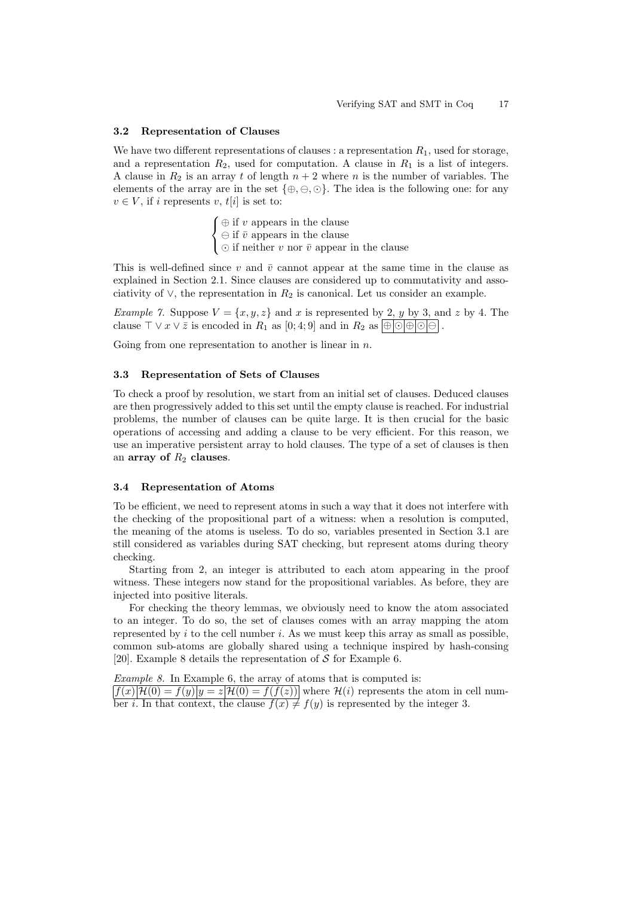#### 3.2 Representation of Clauses

We have two different representations of clauses : a representation  $R_1$ , used for storage, and a representation  $R_2$ , used for computation. A clause in  $R_1$  is a list of integers. A clause in  $R_2$  is an array t of length  $n + 2$  where n is the number of variables. The elements of the array are in the set  $\{\oplus,\ominus,\odot\}$ . The idea is the following one: for any  $v \in V$ , if i represents v, t[i] is set to:

> $\sqrt{ }$  $\frac{1}{2}$  $\mathcal{L}$  $\oplus$  if v appears in the clause  $\ominus$  if  $\bar{v}$  appears in the clause  $\odot$  if neither v nor  $\bar{v}$  appear in the clause

This is well-defined since v and  $\bar{v}$  cannot appear at the same time in the clause as explained in Section 2.1. Since clauses are considered up to commutativity and associativity of  $\vee$ , the representation in  $R_2$  is canonical. Let us consider an example.

Example 7. Suppose  $V = \{x, y, z\}$  and x is represented by 2, y by 3, and z by 4. The clause  $\top \vee x \vee \overline{z}$  is encoded in  $R_1$  as  $[0; 4; 9]$  and in  $R_2$  as  $\bigotimes_{\square} \bigotimes_{\square} \bigotimes$ .

Going from one representation to another is linear in  $n$ .

#### 3.3 Representation of Sets of Clauses

To check a proof by resolution, we start from an initial set of clauses. Deduced clauses are then progressively added to this set until the empty clause is reached. For industrial problems, the number of clauses can be quite large. It is then crucial for the basic operations of accessing and adding a clause to be very efficient. For this reason, we use an imperative persistent array to hold clauses. The type of a set of clauses is then an array of  $R_2$  clauses.

#### 3.4 Representation of Atoms

To be efficient, we need to represent atoms in such a way that it does not interfere with the checking of the propositional part of a witness: when a resolution is computed, the meaning of the atoms is useless. To do so, variables presented in Section 3.1 are still considered as variables during SAT checking, but represent atoms during theory checking.

Starting from 2, an integer is attributed to each atom appearing in the proof witness. These integers now stand for the propositional variables. As before, they are injected into positive literals.

For checking the theory lemmas, we obviously need to know the atom associated to an integer. To do so, the set of clauses comes with an array mapping the atom represented by  $i$  to the cell number  $i$ . As we must keep this array as small as possible, common sub-atoms are globally shared using a technique inspired by hash-consing [20]. Example 8 details the representation of  $S$  for Example 6.

Example 8. In Example 6, the array of atoms that is computed is:

 $|f(x)|\mathcal{H}(0) = f(y)|y = z|\mathcal{H}(0) = f(f(z))|$  where  $\mathcal{H}(i)$  represents the atom in cell number *i*. In that context, the clause  $f(x) \neq f(y)$  is represented by the integer 3.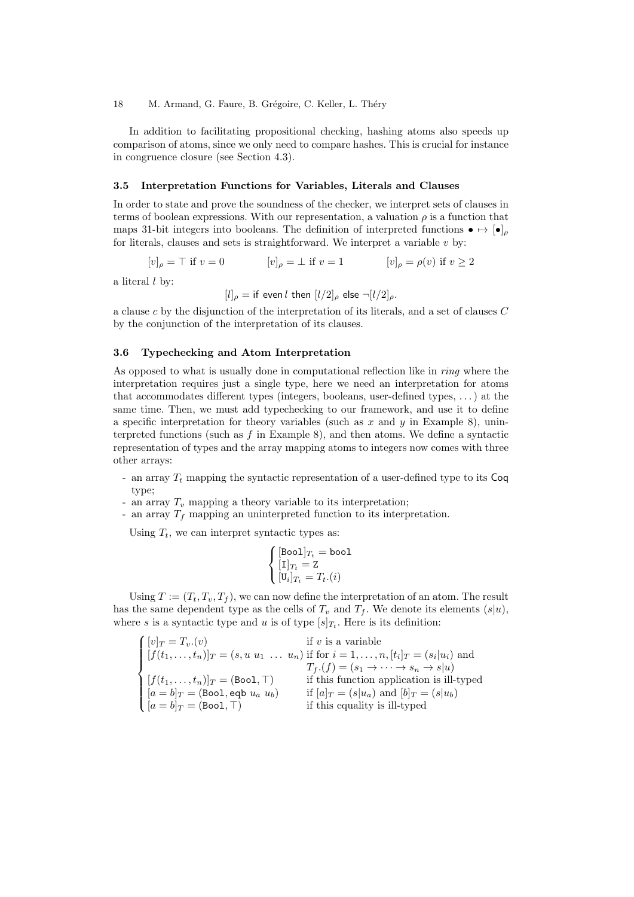In addition to facilitating propositional checking, hashing atoms also speeds up comparison of atoms, since we only need to compare hashes. This is crucial for instance in congruence closure (see Section 4.3).

#### 3.5 Interpretation Functions for Variables, Literals and Clauses

In order to state and prove the soundness of the checker, we interpret sets of clauses in terms of boolean expressions. With our representation, a valuation  $\rho$  is a function that maps 31-bit integers into booleans. The definition of interpreted functions  $\bullet \mapsto [\bullet]_e$ for literals, clauses and sets is straightforward. We interpret a variable  $v$  by:

$$
[v]_{\rho} = \top \text{ if } v = 0 \qquad [v]_{\rho} = \bot \text{ if } v = 1 \qquad [v]_{\rho} = \rho(v) \text{ if } v \ge 2
$$

a literal  $l$  by:

 $[l]_{\rho} =$  if even l then  $[l/2]_{\rho}$  else  $\neg[l/2]_{\rho}$ .

a clause c by the disjunction of the interpretation of its literals, and a set of clauses C by the conjunction of the interpretation of its clauses.

#### 3.6 Typechecking and Atom Interpretation

As opposed to what is usually done in computational reflection like in ring where the interpretation requires just a single type, here we need an interpretation for atoms that accommodates different types (integers, booleans, user-defined types, . . . ) at the same time. Then, we must add typechecking to our framework, and use it to define a specific interpretation for theory variables (such as  $x$  and  $y$  in Example 8), uninterpreted functions (such as  $f$  in Example 8), and then atoms. We define a syntactic representation of types and the array mapping atoms to integers now comes with three other arrays:

- an array  $T_t$  mapping the syntactic representation of a user-defined type to its  $\textsf{Cog}$ type;
- an array  $T_v$  mapping a theory variable to its interpretation;
- an array  $T_f$  mapping an uninterpreted function to its interpretation.

Using  $T_t$ , we can interpret syntactic types as:

$$
\begin{cases} [\text{Bool}]_{T_t} = \text{bool} \\ [\text{I}]_{T_t} = \text{Z} \\ [\text{U}_i]_{T_t} = T_t.(i) \end{cases}
$$

Using  $T := (T_t, T_v, T_f)$ , we can now define the interpretation of an atom. The result has the same dependent type as the cells of  $T_v$  and  $T_f$ . We denote its elements  $(s|u)$ , where s is a syntactic type and u is of type  $[s]_{T_t}$ . Here is its definition:

$$
\begin{cases}\n[v]_T = T_v.(v) & \text{if } v \text{ is a variable} \\
[f(t_1, \ldots, t_n)]_T = (s, u \ u_1 \ \ldots \ u_n) & \text{if for } i = 1, \ldots, n, [t_i]_T = (s_i | u_i) \text{ and} \\
T_f.(f) = (s_1 \rightarrow \cdots \rightarrow s_n \rightarrow s | u) \\
[f(t_1, \ldots, t_n)]_T = (\text{Bool}, \top) & \text{if this function application is ill- typed} \\
[a = b]_T = (\text{Bool}, \text{eqb } u_a \ u_b) & \text{if } [a]_T = (s | u_a) \text{ and } [b]_T = (s | u_b) \\
[a = b]_T = (\text{Bool}, \top) & \text{if this equality is ill- typed}\n\end{cases}
$$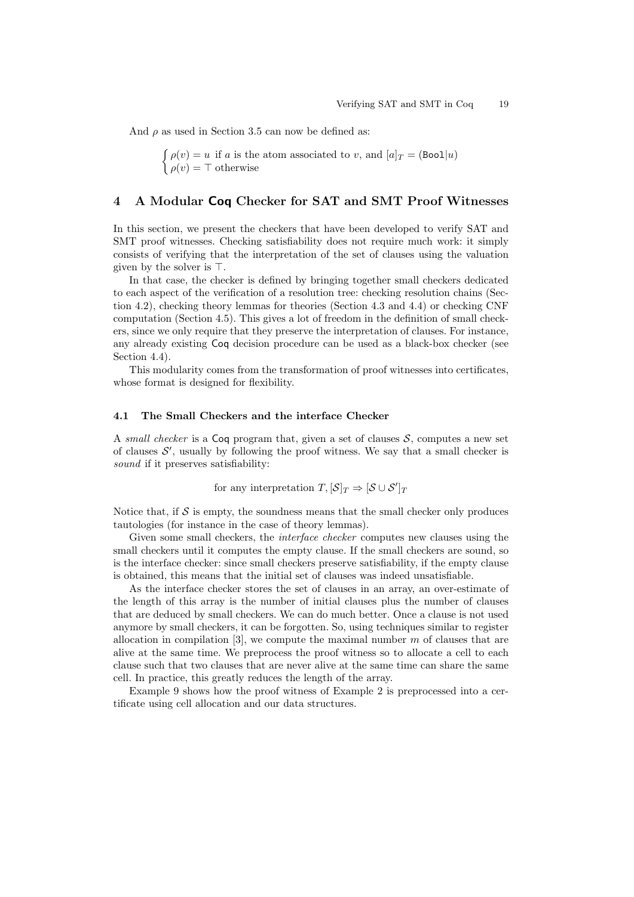And  $\rho$  as used in Section 3.5 can now be defined as:

 $\int \rho(v) = u$  if a is the atom associated to v, and  $[a]_T = (\text{Bool}|u)$  $\rho(v) = \top$  otherwise

# 4 A Modular Coq Checker for SAT and SMT Proof Witnesses

In this section, we present the checkers that have been developed to verify SAT and SMT proof witnesses. Checking satisfiability does not require much work: it simply consists of verifying that the interpretation of the set of clauses using the valuation given by the solver is  $\top$ .

In that case, the checker is defined by bringing together small checkers dedicated to each aspect of the verification of a resolution tree: checking resolution chains (Section 4.2), checking theory lemmas for theories (Section 4.3 and 4.4) or checking CNF computation (Section 4.5). This gives a lot of freedom in the definition of small checkers, since we only require that they preserve the interpretation of clauses. For instance, any already existing Coq decision procedure can be used as a black-box checker (see Section 4.4).

This modularity comes from the transformation of proof witnesses into certificates, whose format is designed for flexibility.

### 4.1 The Small Checkers and the interface Checker

A small checker is a Coq program that, given a set of clauses  $S$ , computes a new set of clauses  $\mathcal{S}'$ , usually by following the proof witness. We say that a small checker is sound if it preserves satisfiability:

for any interpretation  $T, [\mathcal{S}]_T \Rightarrow [\mathcal{S} \cup \mathcal{S}']_T$ 

Notice that, if  $\mathcal S$  is empty, the soundness means that the small checker only produces tautologies (for instance in the case of theory lemmas).

Given some small checkers, the *interface checker* computes new clauses using the small checkers until it computes the empty clause. If the small checkers are sound, so is the interface checker: since small checkers preserve satisfiability, if the empty clause is obtained, this means that the initial set of clauses was indeed unsatisfiable.

As the interface checker stores the set of clauses in an array, an over-estimate of the length of this array is the number of initial clauses plus the number of clauses that are deduced by small checkers. We can do much better. Once a clause is not used anymore by small checkers, it can be forgotten. So, using techniques similar to register allocation in compilation  $[3]$ , we compute the maximal number m of clauses that are alive at the same time. We preprocess the proof witness so to allocate a cell to each clause such that two clauses that are never alive at the same time can share the same cell. In practice, this greatly reduces the length of the array.

Example 9 shows how the proof witness of Example 2 is preprocessed into a certificate using cell allocation and our data structures.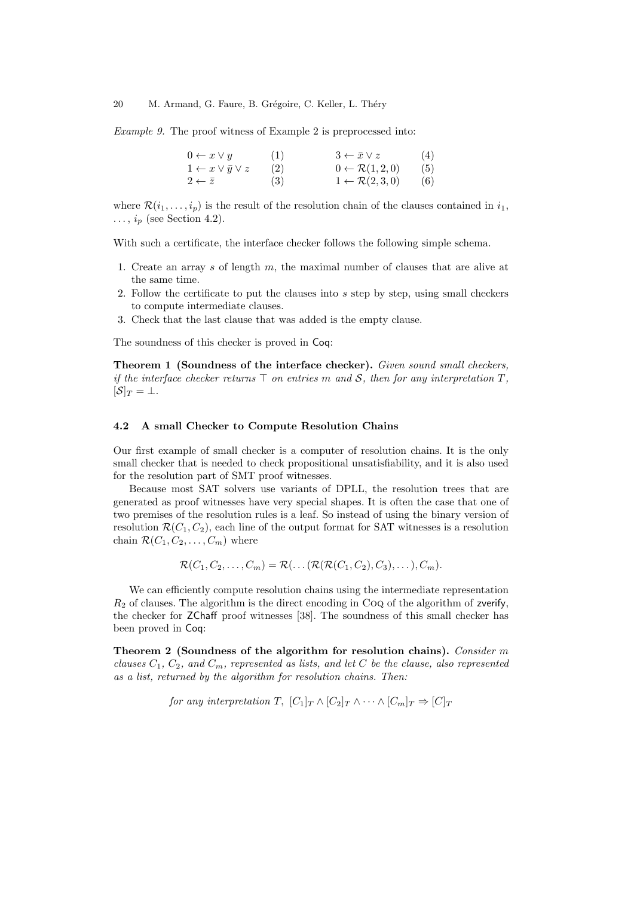Example 9. The proof witness of Example 2 is preprocessed into:

| $0 \leftarrow x \vee y$              | (1) | $3 \leftarrow \bar{x} \vee z$     | (4) |
|--------------------------------------|-----|-----------------------------------|-----|
| $1 \leftarrow x \vee \bar{y} \vee z$ | (2) | $0 \leftarrow \mathcal{R}(1,2,0)$ | (5) |
| $2 \leftarrow \bar{z}$               | (3) | $1 \leftarrow \mathcal{R}(2,3,0)$ | (6) |

where  $\mathcal{R}(i_1,\ldots,i_p)$  is the result of the resolution chain of the clauses contained in  $i_1$ ,  $\ldots$ ,  $i_p$  (see Section 4.2).

With such a certificate, the interface checker follows the following simple schema.

- 1. Create an array s of length  $m$ , the maximal number of clauses that are alive at the same time.
- 2. Follow the certificate to put the clauses into  $s$  step by step, using small checkers to compute intermediate clauses.
- 3. Check that the last clause that was added is the empty clause.

The soundness of this checker is proved in Coq:

Theorem 1 (Soundness of the interface checker). Given sound small checkers, if the interface checker returns  $\top$  on entries m and  $\mathcal{S}$ , then for any interpretation  $T$ ,  $[\mathcal{S}]_T = \perp$ .

#### 4.2 A small Checker to Compute Resolution Chains

Our first example of small checker is a computer of resolution chains. It is the only small checker that is needed to check propositional unsatisfiability, and it is also used for the resolution part of SMT proof witnesses.

Because most SAT solvers use variants of DPLL, the resolution trees that are generated as proof witnesses have very special shapes. It is often the case that one of two premises of the resolution rules is a leaf. So instead of using the binary version of resolution  $\mathcal{R}(C_1, C_2)$ , each line of the output format for SAT witnesses is a resolution chain  $\mathcal{R}(C_1, C_2, \ldots, C_m)$  where

 $\mathcal{R}(C_1, C_2, \ldots, C_m) = \mathcal{R}(\ldots (\mathcal{R}(\mathcal{R}(C_1, C_2), C_3), \ldots), C_m).$ 

We can efficiently compute resolution chains using the intermediate representation  $R<sub>2</sub>$  of clauses. The algorithm is the direct encoding in CoQ of the algorithm of zverify, the checker for ZChaff proof witnesses [38]. The soundness of this small checker has been proved in Coq:

Theorem 2 (Soundness of the algorithm for resolution chains). Consider m clauses  $C_1$ ,  $C_2$ , and  $C_m$ , represented as lists, and let C be the clause, also represented as a list, returned by the algorithm for resolution chains. Then:

for any interpretation T,  $[C_1]_T \wedge [C_2]_T \wedge \cdots \wedge [C_m]_T \Rightarrow [C]_T$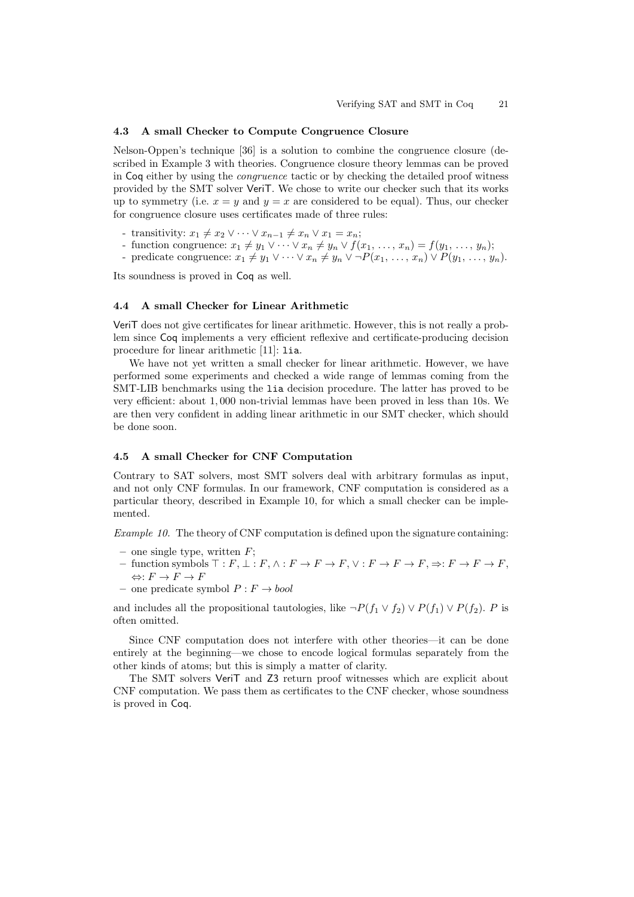#### 4.3 A small Checker to Compute Congruence Closure

Nelson-Oppen's technique [36] is a solution to combine the congruence closure (described in Example 3 with theories. Congruence closure theory lemmas can be proved in Coq either by using the congruence tactic or by checking the detailed proof witness provided by the SMT solver VeriT. We chose to write our checker such that its works up to symmetry (i.e.  $x = y$  and  $y = x$  are considered to be equal). Thus, our checker for congruence closure uses certificates made of three rules:

- transitivity:  $x_1 \neq x_2 \vee \cdots \vee x_{n-1} \neq x_n \vee x_1 = x_n;$
- function congruence:  $x_1 \neq y_1 \vee \cdots \vee x_n \neq y_n \vee f(x_1, \ldots, x_n) = f(y_1, \ldots, y_n);$
- predicate congruence:  $x_1 \neq y_1 \vee \cdots \vee x_n \neq y_n \vee \neg P(x_1, \ldots, x_n) \vee P(y_1, \ldots, y_n)$ .

Its soundness is proved in Coq as well.

### 4.4 A small Checker for Linear Arithmetic

VeriT does not give certificates for linear arithmetic. However, this is not really a problem since Coq implements a very efficient reflexive and certificate-producing decision procedure for linear arithmetic [11]: lia.

We have not yet written a small checker for linear arithmetic. However, we have performed some experiments and checked a wide range of lemmas coming from the SMT-LIB benchmarks using the lia decision procedure. The latter has proved to be very efficient: about 1, 000 non-trivial lemmas have been proved in less than 10s. We are then very confident in adding linear arithmetic in our SMT checker, which should be done soon.

#### 4.5 A small Checker for CNF Computation

Contrary to SAT solvers, most SMT solvers deal with arbitrary formulas as input, and not only CNF formulas. In our framework, CNF computation is considered as a particular theory, described in Example 10, for which a small checker can be implemented.

Example 10. The theory of CNF computation is defined upon the signature containing:

- one single type, written  $F$ ;
- function symbols  $\top : F, \bot : F, \wedge : F \to F \to F, \vee : F \to F \to F, \Rightarrow : F \to F \to F,$  $\Leftrightarrow: F \to F \to F$
- one predicate symbol  $P : F \rightarrow bool$

and includes all the propositional tautologies, like  $\neg P(f_1 \lor f_2) \lor P(f_1) \lor P(f_2)$ . P is often omitted.

Since CNF computation does not interfere with other theories—it can be done entirely at the beginning—we chose to encode logical formulas separately from the other kinds of atoms; but this is simply a matter of clarity.

The SMT solvers VeriT and Z3 return proof witnesses which are explicit about CNF computation. We pass them as certificates to the CNF checker, whose soundness is proved in Coq.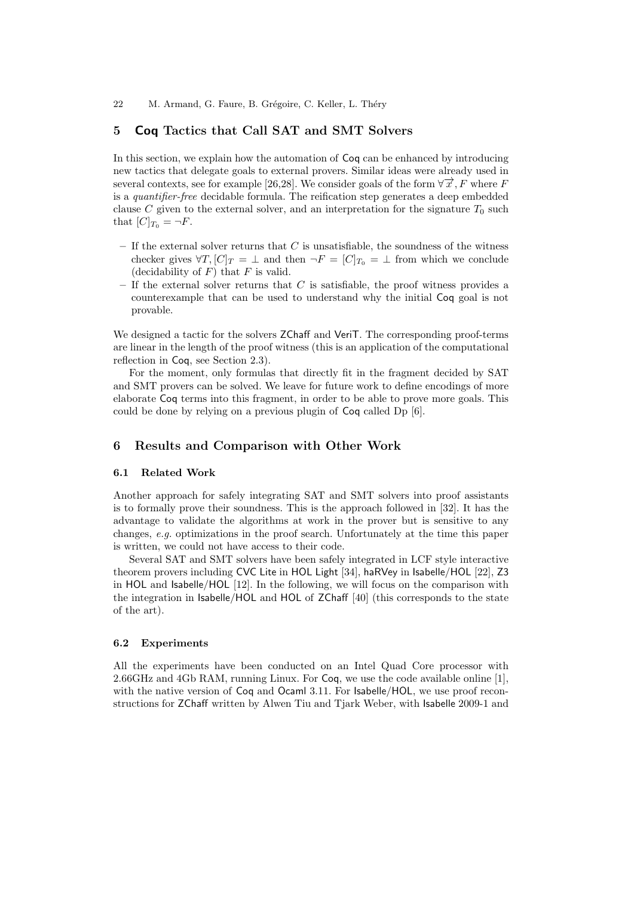# 5 Coq Tactics that Call SAT and SMT Solvers

In this section, we explain how the automation of Coq can be enhanced by introducing new tactics that delegate goals to external provers. Similar ideas were already used in several contexts, see for example [26,28]. We consider goals of the form  $\forall \vec{x}, F$  where F is a quantifier-free decidable formula. The reification step generates a deep embedded clause C given to the external solver, and an interpretation for the signature  $T_0$  such that  $[C]_{T_0} = \neg F$ .

- $-$  If the external solver returns that C is unsatisfiable, the soundness of the witness checker gives  $\forall T, [C]_T = \perp$  and then  $\neg F = [C]_{T_0} = \perp$  from which we conclude (decidability of  $F$ ) that  $F$  is valid.
- If the external solver returns that  $C$  is satisfiable, the proof witness provides a counterexample that can be used to understand why the initial Coq goal is not provable.

We designed a tactic for the solvers **ZChaff** and **VeriT**. The corresponding proof-terms are linear in the length of the proof witness (this is an application of the computational reflection in Coq, see Section 2.3).

For the moment, only formulas that directly fit in the fragment decided by SAT and SMT provers can be solved. We leave for future work to define encodings of more elaborate Coq terms into this fragment, in order to be able to prove more goals. This could be done by relying on a previous plugin of Coq called Dp [6].

# 6 Results and Comparison with Other Work

# 6.1 Related Work

Another approach for safely integrating SAT and SMT solvers into proof assistants is to formally prove their soundness. This is the approach followed in [32]. It has the advantage to validate the algorithms at work in the prover but is sensitive to any changes, e.g. optimizations in the proof search. Unfortunately at the time this paper is written, we could not have access to their code.

Several SAT and SMT solvers have been safely integrated in LCF style interactive theorem provers including CVC Lite in HOL Light [34], haRVey in Isabelle/HOL [22], Z3 in HOL and Isabelle/HOL [12]. In the following, we will focus on the comparison with the integration in Isabelle/HOL and HOL of ZChaff [40] (this corresponds to the state of the art).

#### 6.2 Experiments

All the experiments have been conducted on an Intel Quad Core processor with 2.66GHz and 4Gb RAM, running Linux. For Coq, we use the code available online [1], with the native version of Coq and Ocaml 3.11. For Isabelle/HOL, we use proof reconstructions for ZChaff written by Alwen Tiu and Tjark Weber, with Isabelle 2009-1 and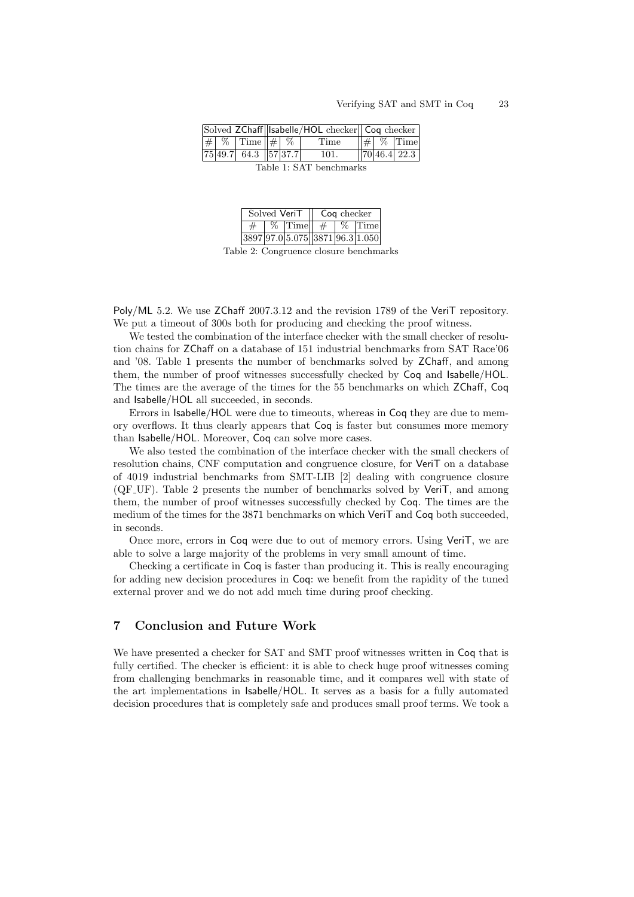| $  # \n%$ Time<br>$\#$   %   Time    $\#$   %   <br>Time     |  |
|--------------------------------------------------------------|--|
|                                                              |  |
| $75 49.7 $ 64.3 $ 57 37.7 $<br>$\sqrt{70 46.4 22.3}$<br>101. |  |

Table 1: SAT benchmarks

| Solved VeriT |  |            | Cog checker |  |                                 |
|--------------|--|------------|-------------|--|---------------------------------|
|              |  | $%$ Timell |             |  | <b>Time</b>                     |
|              |  |            |             |  | 3897 97.0 5.075 3871 96.3 1.050 |

Table 2: Congruence closure benchmarks

Poly/ML 5.2. We use ZChaff 2007.3.12 and the revision 1789 of the VeriT repository. We put a timeout of 300s both for producing and checking the proof witness.

We tested the combination of the interface checker with the small checker of resolution chains for ZChaff on a database of 151 industrial benchmarks from SAT Race'06 and '08. Table 1 presents the number of benchmarks solved by ZChaff, and among them, the number of proof witnesses successfully checked by Coq and Isabelle/HOL. The times are the average of the times for the 55 benchmarks on which ZChaff, Coq and Isabelle/HOL all succeeded, in seconds.

Errors in Isabelle/HOL were due to timeouts, whereas in Coq they are due to memory overflows. It thus clearly appears that Coq is faster but consumes more memory than Isabelle/HOL. Moreover, Coq can solve more cases.

We also tested the combination of the interface checker with the small checkers of resolution chains, CNF computation and congruence closure, for VeriT on a database of 4019 industrial benchmarks from SMT-LIB [2] dealing with congruence closure (QF UF). Table 2 presents the number of benchmarks solved by VeriT, and among them, the number of proof witnesses successfully checked by Coq. The times are the medium of the times for the 3871 benchmarks on which VeriT and Coq both succeeded, in seconds.

Once more, errors in Coq were due to out of memory errors. Using VeriT, we are able to solve a large majority of the problems in very small amount of time.

Checking a certificate in Coq is faster than producing it. This is really encouraging for adding new decision procedures in Coq: we benefit from the rapidity of the tuned external prover and we do not add much time during proof checking.

# 7 Conclusion and Future Work

We have presented a checker for SAT and SMT proof witnesses written in Coq that is fully certified. The checker is efficient: it is able to check huge proof witnesses coming from challenging benchmarks in reasonable time, and it compares well with state of the art implementations in Isabelle/HOL. It serves as a basis for a fully automated decision procedures that is completely safe and produces small proof terms. We took a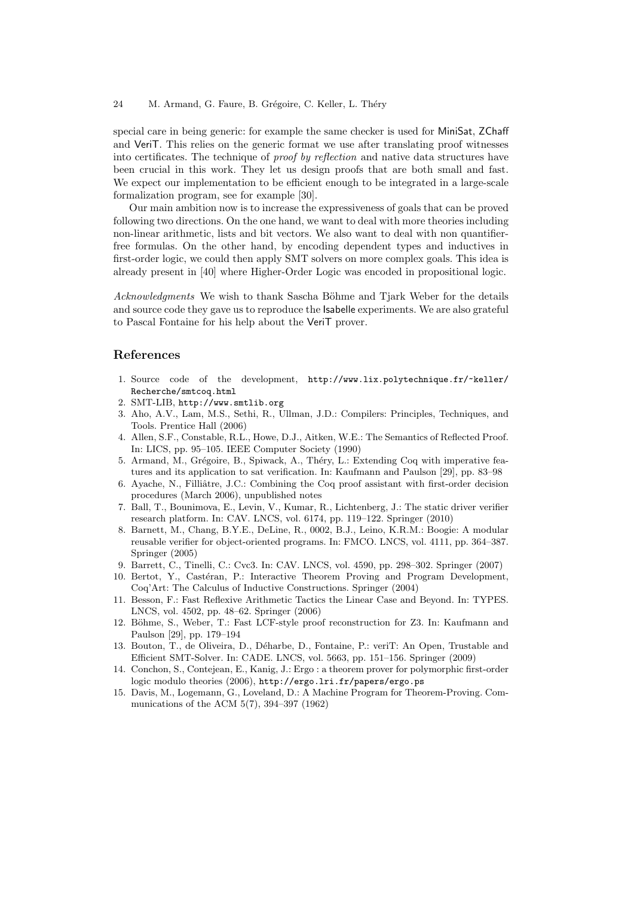special care in being generic: for example the same checker is used for MiniSat, ZChaff and VeriT. This relies on the generic format we use after translating proof witnesses into certificates. The technique of proof by reflection and native data structures have been crucial in this work. They let us design proofs that are both small and fast. We expect our implementation to be efficient enough to be integrated in a large-scale formalization program, see for example [30].

Our main ambition now is to increase the expressiveness of goals that can be proved following two directions. On the one hand, we want to deal with more theories including non-linear arithmetic, lists and bit vectors. We also want to deal with non quantifierfree formulas. On the other hand, by encoding dependent types and inductives in first-order logic, we could then apply SMT solvers on more complex goals. This idea is already present in [40] where Higher-Order Logic was encoded in propositional logic.

Acknowledgments We wish to thank Sascha Böhme and Tjark Weber for the details and source code they gave us to reproduce the Isabelle experiments. We are also grateful to Pascal Fontaine for his help about the VeriT prover.

# References

- 1. Source code of the development, http://www.lix.polytechnique.fr/~keller/ Recherche/smtcoq.html
- 2. SMT-LIB, http://www.smtlib.org
- 3. Aho, A.V., Lam, M.S., Sethi, R., Ullman, J.D.: Compilers: Principles, Techniques, and Tools. Prentice Hall (2006)
- 4. Allen, S.F., Constable, R.L., Howe, D.J., Aitken, W.E.: The Semantics of Reflected Proof. In: LICS, pp. 95–105. IEEE Computer Society (1990)
- 5. Armand, M., Grégoire, B., Spiwack, A., Théry, L.: Extending Coq with imperative features and its application to sat verification. In: Kaufmann and Paulson [29], pp. 83–98
- 6. Ayache, N., Filliâtre, J.C.: Combining the Coq proof assistant with first-order decision procedures (March 2006), unpublished notes
- 7. Ball, T., Bounimova, E., Levin, V., Kumar, R., Lichtenberg, J.: The static driver verifier research platform. In: CAV. LNCS, vol. 6174, pp. 119–122. Springer (2010)
- 8. Barnett, M., Chang, B.Y.E., DeLine, R., 0002, B.J., Leino, K.R.M.: Boogie: A modular reusable verifier for object-oriented programs. In: FMCO. LNCS, vol. 4111, pp. 364–387. Springer (2005)
- 9. Barrett, C., Tinelli, C.: Cvc3. In: CAV. LNCS, vol. 4590, pp. 298–302. Springer (2007)
- 10. Bertot, Y., Castéran, P.: Interactive Theorem Proving and Program Development, Coq'Art: The Calculus of Inductive Constructions. Springer (2004)
- 11. Besson, F.: Fast Reflexive Arithmetic Tactics the Linear Case and Beyond. In: TYPES. LNCS, vol. 4502, pp. 48–62. Springer (2006)
- 12. Böhme, S., Weber, T.: Fast LCF-style proof reconstruction for Z3. In: Kaufmann and Paulson [29], pp. 179–194
- 13. Bouton, T., de Oliveira, D., D´eharbe, D., Fontaine, P.: veriT: An Open, Trustable and Efficient SMT-Solver. In: CADE. LNCS, vol. 5663, pp. 151–156. Springer (2009)
- 14. Conchon, S., Contejean, E., Kanig, J.: Ergo : a theorem prover for polymorphic first-order logic modulo theories (2006), http://ergo.lri.fr/papers/ergo.ps
- 15. Davis, M., Logemann, G., Loveland, D.: A Machine Program for Theorem-Proving. Communications of the ACM 5(7), 394–397 (1962)